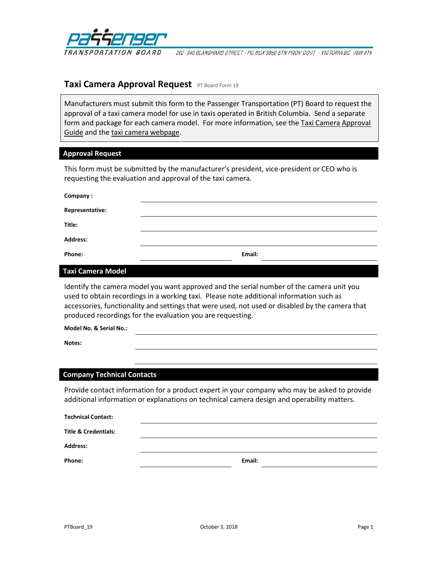

202-940 BLANSHARD STREET · PO BOX 9850 STN PROV GOVT · VICTORIA BC V8W 9T5

# **Taxi Camera Approval Request** PT Board Form 19

Manufacturers must submit this form to the Passenger Transportation (PT) Board to request the approval of a taxi camera model for use in taxis operated in British Columbia. Send a separate form and package for each camera model. For more information, see the Taxi Camera Approval [Guide](http://www.th.gov.bc.ca/ptb/documents/taxicam-approval-guide.pdf) and the [taxi camera webpage.](http://www.ptboard.bc.ca/cameras.htm)

# **Approval Request**

This form must be submitted by the manufacturer's president, vice-president or CEO who is requesting the evaluation and approval of the taxi camera.

| Company:        |        |  |
|-----------------|--------|--|
| Representative: |        |  |
| Title:          |        |  |
| <b>Address:</b> |        |  |
| Phone:          | Email: |  |

# **Taxi Camera Model**

Identify the camera model you want approved and the serial number of the camera unit you used to obtain recordings in a working taxi. Please note additional information such as accessories, functionality and settings that were used, not used or disabled by the camera that produced recordings for the evaluation you are requesting.

**Model No. & Serial No.:**

**Notes:**

### **Company Technical Contacts**

Provide contact information for a product expert in your company who may be asked to provide additional information or explanations on technical camera design and operability matters.

| <b>Technical Contact:</b>       |        |  |
|---------------------------------|--------|--|
| <b>Title &amp; Credentials:</b> |        |  |
| <b>Address:</b>                 |        |  |
| Phone:                          | Email: |  |
|                                 |        |  |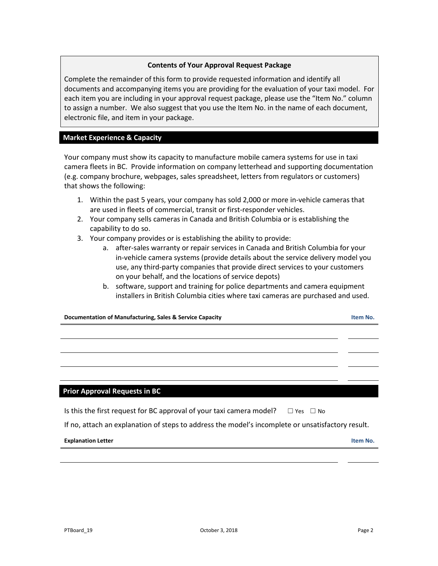# **Contents of Your Approval Request Package**

Complete the remainder of this form to provide requested information and identify all documents and accompanying items you are providing for the evaluation of your taxi model. For each item you are including in your approval request package, please use the "Item No." column to assign a number. We also suggest that you use the Item No. in the name of each document, electronic file, and item in your package.

# **Market Experience & Capacity**

Your company must show its capacity to manufacture mobile camera systems for use in taxi camera fleets in BC. Provide information on company letterhead and supporting documentation (e.g. company brochure, webpages, sales spreadsheet, letters from regulators or customers) that shows the following:

- 1. Within the past 5 years, your company has sold 2,000 or more in-vehicle cameras that are used in fleets of commercial, transit or first-responder vehicles.
- 2. Your company sells cameras in Canada and British Columbia or is establishing the capability to do so.
- 3. Your company provides or is establishing the ability to provide:
	- a. after-sales warranty or repair services in Canada and British Columbia for your in-vehicle camera systems (provide details about the service delivery model you use, any third-party companies that provide direct services to your customers on your behalf, and the locations of service depots)
	- b. software, support and training for police departments and camera equipment installers in British Columbia cities where taxi cameras are purchased and used.

| Documentation of Manufacturing, Sales & Service Capacity                                        |  |  |
|-------------------------------------------------------------------------------------------------|--|--|
|                                                                                                 |  |  |
|                                                                                                 |  |  |
|                                                                                                 |  |  |
|                                                                                                 |  |  |
|                                                                                                 |  |  |
| <b>Prior Approval Requests in BC</b>                                                            |  |  |
| Is this the first request for BC approval of your taxi camera model? $\square$ Yes $\square$ No |  |  |

If no, attach an explanation of steps to address the model's incomplete or unsatisfactory result.

#### **Explanation Letter Item No.**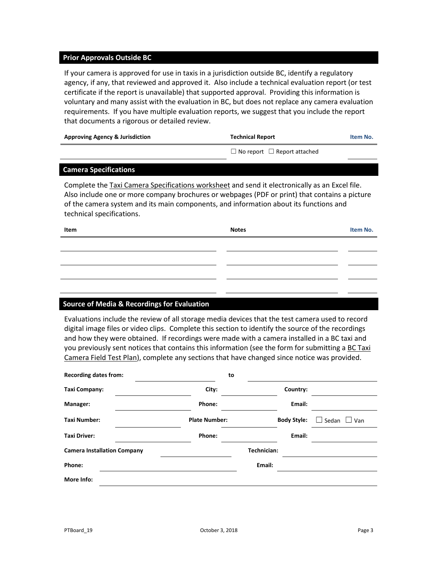### **Prior Approvals Outside BC**

If your camera is approved for use in taxis in a jurisdiction outside BC, identify a regulatory agency, if any, that reviewed and approved it. Also include a technical evaluation report (or test certificate if the report is unavailable) that supported approval. Providing this information is voluntary and many assist with the evaluation in BC, but does not replace any camera evaluation requirements. If you have multiple evaluation reports, we suggest that you include the report that documents a rigorous or detailed review.

| <b>Approving Agency &amp; Jurisdiction</b> | <b>Technical Report</b>                 | Item No. |
|--------------------------------------------|-----------------------------------------|----------|
|                                            | $\Box$ No report $\Box$ Report attached |          |

#### **Camera Specifications**

Complete the [Taxi Camera Specifications worksheet](http://www.th.gov.bc.ca/forms/getForm.aspx?formId=1421) and send it electronically as an Excel file. Also include one or more company brochures or webpages (PDF or print) that contains a picture of the camera system and its main components, and information about its functions and technical specifications.

| Item | <b>Notes</b> | Item No. |
|------|--------------|----------|
|      |              |          |
|      |              |          |
|      |              |          |
|      |              |          |
|      |              |          |

### **Source of Media & Recordings for Evaluation**

Evaluations include the review of all storage media devices that the test camera used to record digital image files or video clips. Complete this section to identify the source of the recordings and how they were obtained. If recordings were made with a camera installed in a BC taxi and you previously sent notices that contains this information (see the form for submitting a BC Taxi [Camera Field Test Plan\)](http://www.th.gov.bc.ca/forms/getForm.aspx?formId=1422), complete any sections that have changed since notice was provided.

| <b>Recording dates from:</b>       | to                   |             |                    |                         |
|------------------------------------|----------------------|-------------|--------------------|-------------------------|
| Taxi Company:                      | City:                |             | Country:           |                         |
| Manager:                           | Phone:               |             | Email:             |                         |
| <b>Taxi Number:</b>                | <b>Plate Number:</b> |             | <b>Body Style:</b> | $\Box$ Sedan $\Box$ Van |
| <b>Taxi Driver:</b>                | Phone:               |             | Email:             |                         |
| <b>Camera Installation Company</b> |                      | Technician: |                    |                         |
| Phone:                             |                      | Email:      |                    |                         |
| More Info:                         |                      |             |                    |                         |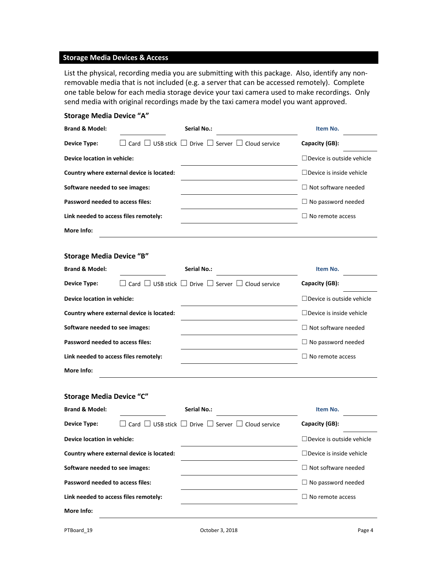# **Storage Media Devices & Access**

List the physical, recording media you are submitting with this package. Also, identify any nonremovable media that is not included (e.g. a server that can be accessed remotely). Complete one table below for each media storage device your taxi camera used to make recordings. Only send media with original recordings made by the taxi camera model you want approved.

# **Storage Media Device "A"**

| <b>Brand &amp; Model:</b>             |                                           | <b>Serial No.:</b>                                                           | Item No.                         |
|---------------------------------------|-------------------------------------------|------------------------------------------------------------------------------|----------------------------------|
| <b>Device Type:</b>                   |                                           | Card $\Box$ USB stick $\Box$ Drive $\Box$ Server $\Box$ Cloud service        | Capacity (GB):                   |
| Device location in vehicle:           |                                           |                                                                              | $\Box$ Device is outside vehicle |
|                                       | Country where external device is located: |                                                                              | $\Box$ Device is inside vehicle  |
| Software needed to see images:        |                                           |                                                                              | $\Box$ Not software needed       |
| Password needed to access files:      |                                           |                                                                              | $\Box$ No password needed        |
| Link needed to access files remotely: |                                           |                                                                              | $\Box$ No remote access          |
| More Info:                            |                                           |                                                                              |                                  |
| <b>Storage Media Device "B"</b>       |                                           |                                                                              |                                  |
| <b>Brand &amp; Model:</b>             |                                           | <b>Serial No.:</b>                                                           | Item No.                         |
| <b>Device Type:</b>                   |                                           | $\Box$ Card $\Box$ USB stick $\Box$ Drive $\Box$ Server $\Box$ Cloud service | Capacity (GB):                   |
| Device location in vehicle:           |                                           |                                                                              | $\Box$ Device is outside vehicle |
|                                       | Country where external device is located: |                                                                              | □ Device is inside vehicle       |
| Software needed to see images:        |                                           |                                                                              | $\Box$ Not software needed       |
| Password needed to access files:      |                                           |                                                                              | $\Box$ No password needed        |
| Link needed to access files remotely: |                                           |                                                                              | $\Box$ No remote access          |
| More Info:                            |                                           |                                                                              |                                  |
| <b>Storage Media Device "C"</b>       |                                           |                                                                              |                                  |
| <b>Brand &amp; Model:</b>             |                                           | Serial No.:                                                                  | Item No.                         |
| <b>Device Type:</b>                   | $\Box$ USB stick $\,$ $\,$ $\,$<br>Card L | $\Box$ Drive $\Box$ Server $\Box$ Cloud service                              | Capacity (GB):                   |
| Device location in vehicle:           |                                           |                                                                              | $\Box$ Device is outside vehicle |
|                                       | Country where external device is located: |                                                                              | $\Box$ Device is inside vehicle  |
| Software needed to see images:        |                                           |                                                                              | $\Box$ Not software needed       |
| Password needed to access files:      |                                           |                                                                              | $\Box$ No password needed        |
| Link needed to access files remotely: |                                           |                                                                              | $\Box$ No remote access          |
| More Info:                            |                                           |                                                                              |                                  |